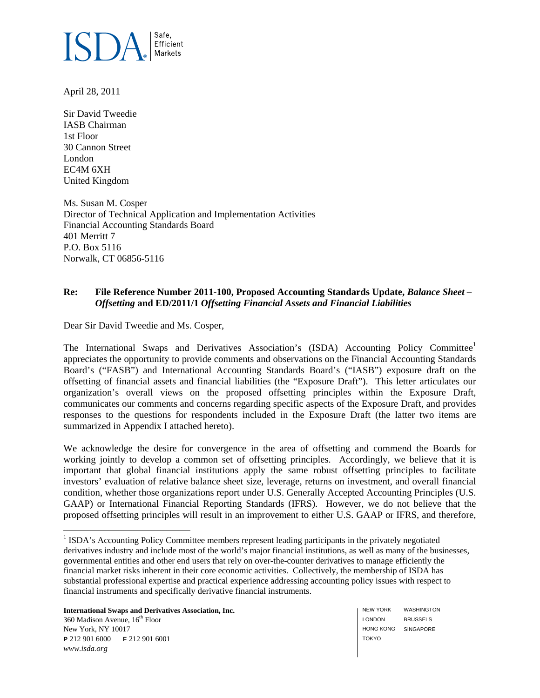

April 28, 2011

Sir David Tweedie IASB Chairman 1st Floor 30 Cannon Street London EC4M 6XH United Kingdom

Ms. Susan M. Cosper Director of Technical Application and Implementation Activities Financial Accounting Standards Board 401 Merritt 7 P.O. Box 5116 Norwalk, CT 06856-5116

### **Re: File Reference Number 2011-100, Proposed Accounting Standards Update,** *Balance Sheet – Offsetting* **and ED/2011/1** *Offsetting Financial Assets and Financial Liabilities*

Dear Sir David Tweedie and Ms. Cosper,

The International Swaps and Derivatives Association's (ISDA) Accounting Policy Committee<sup>1</sup> appreciates the opportunity to provide comments and observations on the Financial Accounting Standards Board's ("FASB") and International Accounting Standards Board's ("IASB") exposure draft on the offsetting of financial assets and financial liabilities (the "Exposure Draft"). This letter articulates our organization's overall views on the proposed offsetting principles within the Exposure Draft, communicates our comments and concerns regarding specific aspects of the Exposure Draft, and provides responses to the questions for respondents included in the Exposure Draft (the latter two items are summarized in Appendix I attached hereto).

We acknowledge the desire for convergence in the area of offsetting and commend the Boards for working jointly to develop a common set of offsetting principles. Accordingly, we believe that it is important that global financial institutions apply the same robust offsetting principles to facilitate investors' evaluation of relative balance sheet size, leverage, returns on investment, and overall financial condition, whether those organizations report under U.S. Generally Accepted Accounting Principles (U.S. GAAP) or International Financial Reporting Standards (IFRS). However, we do not believe that the proposed offsetting principles will result in an improvement to either U.S. GAAP or IFRS, and therefore,

**International Swaps and Derivatives Association, Inc.**   $360$  Madison Avenue,  $16<sup>th</sup>$  Floor

New York, NY 10017 **P** 212 901 6000 **F** 212 901 6001 *www.isda.org* 

 $\overline{a}$ 

NEW YORK LONDON HONG KONG SINGAPORE TOKYO WASHINGTON BRUSSELS

<sup>&</sup>lt;sup>1</sup> ISDA's Accounting Policy Committee members represent leading participants in the privately negotiated derivatives industry and include most of the world's major financial institutions, as well as many of the businesses, governmental entities and other end users that rely on over-the-counter derivatives to manage efficiently the financial market risks inherent in their core economic activities. Collectively, the membership of ISDA has substantial professional expertise and practical experience addressing accounting policy issues with respect to financial instruments and specifically derivative financial instruments.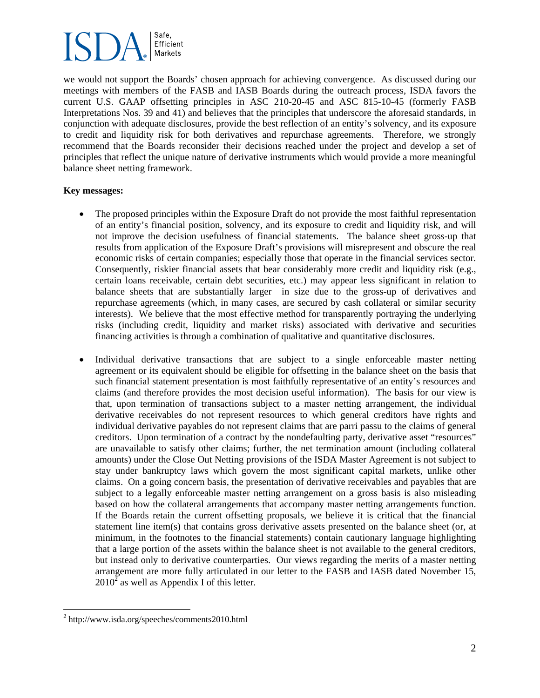we would not support the Boards' chosen approach for achieving convergence. As discussed during our meetings with members of the FASB and IASB Boards during the outreach process, ISDA favors the current U.S. GAAP offsetting principles in ASC 210-20-45 and ASC 815-10-45 (formerly FASB Interpretations Nos. 39 and 41) and believes that the principles that underscore the aforesaid standards, in conjunction with adequate disclosures, provide the best reflection of an entity's solvency, and its exposure to credit and liquidity risk for both derivatives and repurchase agreements. Therefore, we strongly recommend that the Boards reconsider their decisions reached under the project and develop a set of principles that reflect the unique nature of derivative instruments which would provide a more meaningful balance sheet netting framework.

### **Key messages:**

- The proposed principles within the Exposure Draft do not provide the most faithful representation of an entity's financial position, solvency, and its exposure to credit and liquidity risk, and will not improve the decision usefulness of financial statements. The balance sheet gross-up that results from application of the Exposure Draft's provisions will misrepresent and obscure the real economic risks of certain companies; especially those that operate in the financial services sector. Consequently, riskier financial assets that bear considerably more credit and liquidity risk (e.g., certain loans receivable, certain debt securities, etc.) may appear less significant in relation to balance sheets that are substantially larger in size due to the gross-up of derivatives and repurchase agreements (which, in many cases, are secured by cash collateral or similar security interests). We believe that the most effective method for transparently portraying the underlying risks (including credit, liquidity and market risks) associated with derivative and securities financing activities is through a combination of qualitative and quantitative disclosures.
- Individual derivative transactions that are subject to a single enforceable master netting agreement or its equivalent should be eligible for offsetting in the balance sheet on the basis that such financial statement presentation is most faithfully representative of an entity's resources and claims (and therefore provides the most decision useful information). The basis for our view is that, upon termination of transactions subject to a master netting arrangement, the individual derivative receivables do not represent resources to which general creditors have rights and individual derivative payables do not represent claims that are parri passu to the claims of general creditors. Upon termination of a contract by the nondefaulting party, derivative asset "resources" are unavailable to satisfy other claims; further, the net termination amount (including collateral amounts) under the Close Out Netting provisions of the ISDA Master Agreement is not subject to stay under bankruptcy laws which govern the most significant capital markets, unlike other claims. On a going concern basis, the presentation of derivative receivables and payables that are subject to a legally enforceable master netting arrangement on a gross basis is also misleading based on how the collateral arrangements that accompany master netting arrangements function. If the Boards retain the current offsetting proposals, we believe it is critical that the financial statement line item(s) that contains gross derivative assets presented on the balance sheet (or, at minimum, in the footnotes to the financial statements) contain cautionary language highlighting that a large portion of the assets within the balance sheet is not available to the general creditors, but instead only to derivative counterparties. Our views regarding the merits of a master netting arrangement are more fully articulated in our letter to the FASB and IASB dated November 15,  $2010^2$  as well as Appendix I of this letter.

 2 http://www.isda.org/speeches/comments2010.html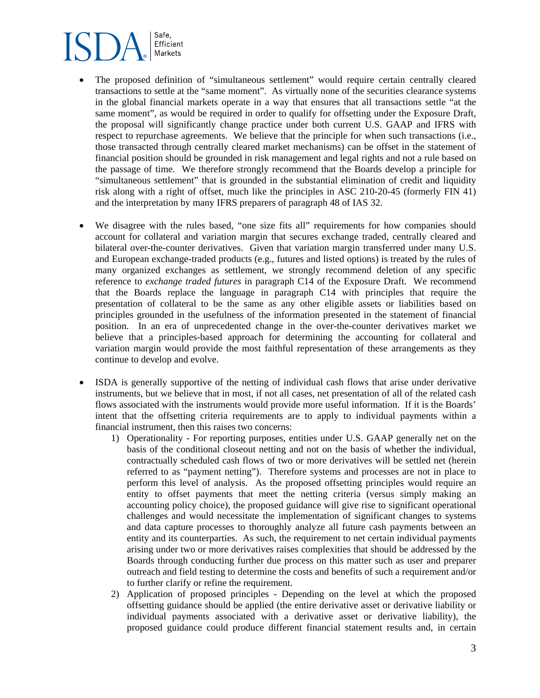- The proposed definition of "simultaneous settlement" would require certain centrally cleared transactions to settle at the "same moment". As virtually none of the securities clearance systems in the global financial markets operate in a way that ensures that all transactions settle "at the same moment", as would be required in order to qualify for offsetting under the Exposure Draft, the proposal will significantly change practice under both current U.S. GAAP and IFRS with respect to repurchase agreements. We believe that the principle for when such transactions (i.e., those transacted through centrally cleared market mechanisms) can be offset in the statement of financial position should be grounded in risk management and legal rights and not a rule based on the passage of time. We therefore strongly recommend that the Boards develop a principle for "simultaneous settlement" that is grounded in the substantial elimination of credit and liquidity risk along with a right of offset, much like the principles in ASC 210-20-45 (formerly FIN 41) and the interpretation by many IFRS preparers of paragraph 48 of IAS 32.
- We disagree with the rules based, "one size fits all" requirements for how companies should account for collateral and variation margin that secures exchange traded, centrally cleared and bilateral over-the-counter derivatives. Given that variation margin transferred under many U.S. and European exchange-traded products (e.g., futures and listed options) is treated by the rules of many organized exchanges as settlement, we strongly recommend deletion of any specific reference to *exchange traded futures* in paragraph C14 of the Exposure Draft. We recommend that the Boards replace the language in paragraph C14 with principles that require the presentation of collateral to be the same as any other eligible assets or liabilities based on principles grounded in the usefulness of the information presented in the statement of financial position. In an era of unprecedented change in the over-the-counter derivatives market we believe that a principles-based approach for determining the accounting for collateral and variation margin would provide the most faithful representation of these arrangements as they continue to develop and evolve.
- ISDA is generally supportive of the netting of individual cash flows that arise under derivative instruments, but we believe that in most, if not all cases, net presentation of all of the related cash flows associated with the instruments would provide more useful information. If it is the Boards' intent that the offsetting criteria requirements are to apply to individual payments within a financial instrument, then this raises two concerns:
	- 1) Operationality For reporting purposes, entities under U.S. GAAP generally net on the basis of the conditional closeout netting and not on the basis of whether the individual, contractually scheduled cash flows of two or more derivatives will be settled net (herein referred to as "payment netting"). Therefore systems and processes are not in place to perform this level of analysis. As the proposed offsetting principles would require an entity to offset payments that meet the netting criteria (versus simply making an accounting policy choice), the proposed guidance will give rise to significant operational challenges and would necessitate the implementation of significant changes to systems and data capture processes to thoroughly analyze all future cash payments between an entity and its counterparties. As such, the requirement to net certain individual payments arising under two or more derivatives raises complexities that should be addressed by the Boards through conducting further due process on this matter such as user and preparer outreach and field testing to determine the costs and benefits of such a requirement and/or to further clarify or refine the requirement.
	- 2) Application of proposed principles Depending on the level at which the proposed offsetting guidance should be applied (the entire derivative asset or derivative liability or individual payments associated with a derivative asset or derivative liability), the proposed guidance could produce different financial statement results and, in certain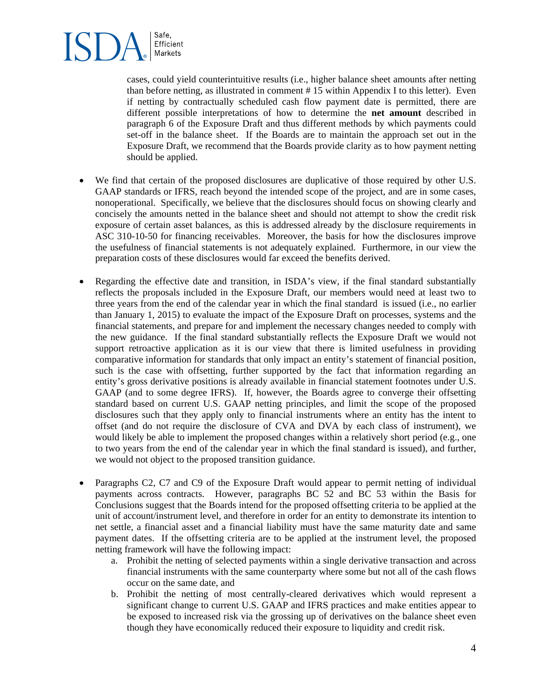cases, could yield counterintuitive results (i.e., higher balance sheet amounts after netting than before netting, as illustrated in comment # 15 within Appendix I to this letter). Even if netting by contractually scheduled cash flow payment date is permitted, there are different possible interpretations of how to determine the **net amount** described in paragraph 6 of the Exposure Draft and thus different methods by which payments could set-off in the balance sheet. If the Boards are to maintain the approach set out in the Exposure Draft, we recommend that the Boards provide clarity as to how payment netting should be applied.

- We find that certain of the proposed disclosures are duplicative of those required by other U.S. GAAP standards or IFRS, reach beyond the intended scope of the project, and are in some cases, nonoperational. Specifically, we believe that the disclosures should focus on showing clearly and concisely the amounts netted in the balance sheet and should not attempt to show the credit risk exposure of certain asset balances, as this is addressed already by the disclosure requirements in ASC 310-10-50 for financing receivables. Moreover, the basis for how the disclosures improve the usefulness of financial statements is not adequately explained. Furthermore, in our view the preparation costs of these disclosures would far exceed the benefits derived.
- Regarding the effective date and transition, in ISDA's view, if the final standard substantially reflects the proposals included in the Exposure Draft, our members would need at least two to three years from the end of the calendar year in which the final standard is issued (i.e., no earlier than January 1, 2015) to evaluate the impact of the Exposure Draft on processes, systems and the financial statements, and prepare for and implement the necessary changes needed to comply with the new guidance. If the final standard substantially reflects the Exposure Draft we would not support retroactive application as it is our view that there is limited usefulness in providing comparative information for standards that only impact an entity's statement of financial position, such is the case with offsetting, further supported by the fact that information regarding an entity's gross derivative positions is already available in financial statement footnotes under U.S. GAAP (and to some degree IFRS). If, however, the Boards agree to converge their offsetting standard based on current U.S. GAAP netting principles, and limit the scope of the proposed disclosures such that they apply only to financial instruments where an entity has the intent to offset (and do not require the disclosure of CVA and DVA by each class of instrument), we would likely be able to implement the proposed changes within a relatively short period (e.g., one to two years from the end of the calendar year in which the final standard is issued), and further, we would not object to the proposed transition guidance.
- Paragraphs C2, C7 and C9 of the Exposure Draft would appear to permit netting of individual payments across contracts. However, paragraphs BC 52 and BC 53 within the Basis for Conclusions suggest that the Boards intend for the proposed offsetting criteria to be applied at the unit of account/instrument level, and therefore in order for an entity to demonstrate its intention to net settle, a financial asset and a financial liability must have the same maturity date and same payment dates. If the offsetting criteria are to be applied at the instrument level, the proposed netting framework will have the following impact:
	- a. Prohibit the netting of selected payments within a single derivative transaction and across financial instruments with the same counterparty where some but not all of the cash flows occur on the same date, and
	- b. Prohibit the netting of most centrally-cleared derivatives which would represent a significant change to current U.S. GAAP and IFRS practices and make entities appear to be exposed to increased risk via the grossing up of derivatives on the balance sheet even though they have economically reduced their exposure to liquidity and credit risk.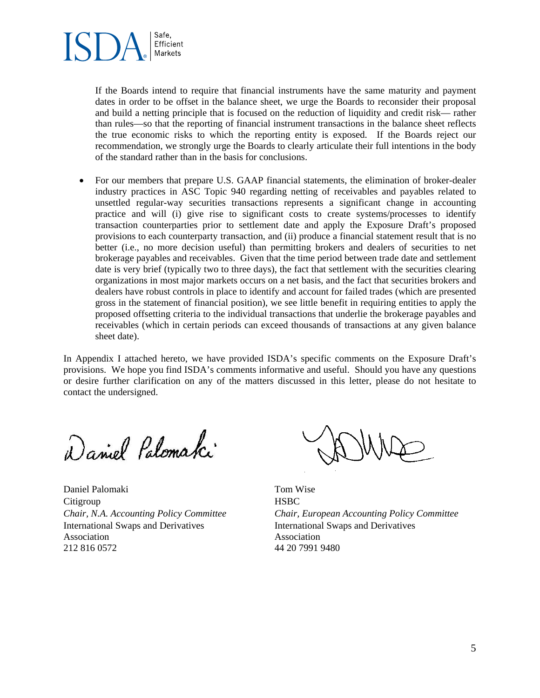

If the Boards intend to require that financial instruments have the same maturity and payment dates in order to be offset in the balance sheet, we urge the Boards to reconsider their proposal and build a netting principle that is focused on the reduction of liquidity and credit risk— rather than rules—so that the reporting of financial instrument transactions in the balance sheet reflects the true economic risks to which the reporting entity is exposed. If the Boards reject our recommendation, we strongly urge the Boards to clearly articulate their full intentions in the body of the standard rather than in the basis for conclusions.

 For our members that prepare U.S. GAAP financial statements, the elimination of broker-dealer industry practices in ASC Topic 940 regarding netting of receivables and payables related to unsettled regular-way securities transactions represents a significant change in accounting practice and will (i) give rise to significant costs to create systems/processes to identify transaction counterparties prior to settlement date and apply the Exposure Draft's proposed provisions to each counterparty transaction, and (ii) produce a financial statement result that is no better (i.e., no more decision useful) than permitting brokers and dealers of securities to net brokerage payables and receivables. Given that the time period between trade date and settlement date is very brief (typically two to three days), the fact that settlement with the securities clearing organizations in most major markets occurs on a net basis, and the fact that securities brokers and dealers have robust controls in place to identify and account for failed trades (which are presented gross in the statement of financial position), we see little benefit in requiring entities to apply the proposed offsetting criteria to the individual transactions that underlie the brokerage payables and receivables (which in certain periods can exceed thousands of transactions at any given balance sheet date).

In Appendix I attached hereto, we have provided ISDA's specific comments on the Exposure Draft's provisions. We hope you find ISDA's comments informative and useful. Should you have any questions or desire further clarification on any of the matters discussed in this letter, please do not hesitate to contact the undersigned.

Daniel Palomaki

Daniel Palomaki Tom Wise Citigroup HSBC International Swaps and Derivatives Association 212 816 0572 44 20 7991 9480

*Chair, N.A. Accounting Policy Committee Chair, European Accounting Policy Committee* International Swaps and Derivatives Association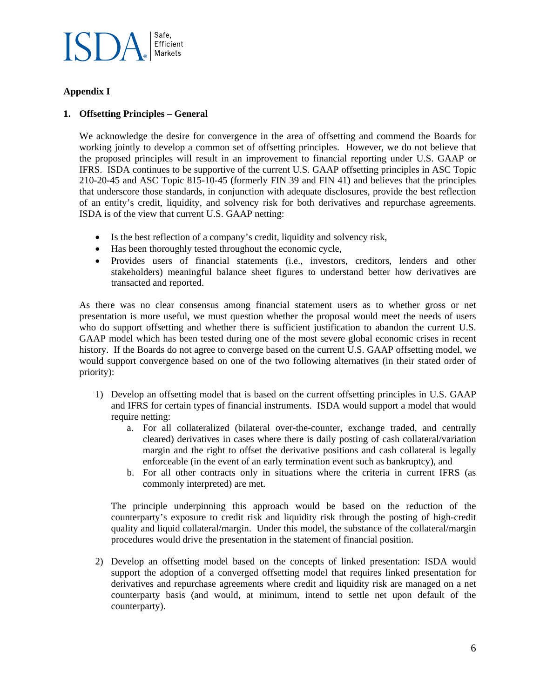

### **Appendix I**

### **1. Offsetting Principles – General**

We acknowledge the desire for convergence in the area of offsetting and commend the Boards for working jointly to develop a common set of offsetting principles. However, we do not believe that the proposed principles will result in an improvement to financial reporting under U.S. GAAP or IFRS. ISDA continues to be supportive of the current U.S. GAAP offsetting principles in ASC Topic 210-20-45 and ASC Topic 815-10-45 (formerly FIN 39 and FIN 41) and believes that the principles that underscore those standards, in conjunction with adequate disclosures, provide the best reflection of an entity's credit, liquidity, and solvency risk for both derivatives and repurchase agreements. ISDA is of the view that current U.S. GAAP netting:

- Is the best reflection of a company's credit, liquidity and solvency risk,
- Has been thoroughly tested throughout the economic cycle,
- Provides users of financial statements (i.e., investors, creditors, lenders and other stakeholders) meaningful balance sheet figures to understand better how derivatives are transacted and reported.

As there was no clear consensus among financial statement users as to whether gross or net presentation is more useful, we must question whether the proposal would meet the needs of users who do support offsetting and whether there is sufficient justification to abandon the current U.S. GAAP model which has been tested during one of the most severe global economic crises in recent history. If the Boards do not agree to converge based on the current U.S. GAAP offsetting model, we would support convergence based on one of the two following alternatives (in their stated order of priority):

- 1) Develop an offsetting model that is based on the current offsetting principles in U.S. GAAP and IFRS for certain types of financial instruments. ISDA would support a model that would require netting:
	- a. For all collateralized (bilateral over-the-counter, exchange traded, and centrally cleared) derivatives in cases where there is daily posting of cash collateral/variation margin and the right to offset the derivative positions and cash collateral is legally enforceable (in the event of an early termination event such as bankruptcy), and
	- b. For all other contracts only in situations where the criteria in current IFRS (as commonly interpreted) are met.

The principle underpinning this approach would be based on the reduction of the counterparty's exposure to credit risk and liquidity risk through the posting of high-credit quality and liquid collateral/margin. Under this model, the substance of the collateral/margin procedures would drive the presentation in the statement of financial position.

2) Develop an offsetting model based on the concepts of linked presentation: ISDA would support the adoption of a converged offsetting model that requires linked presentation for derivatives and repurchase agreements where credit and liquidity risk are managed on a net counterparty basis (and would, at minimum, intend to settle net upon default of the counterparty).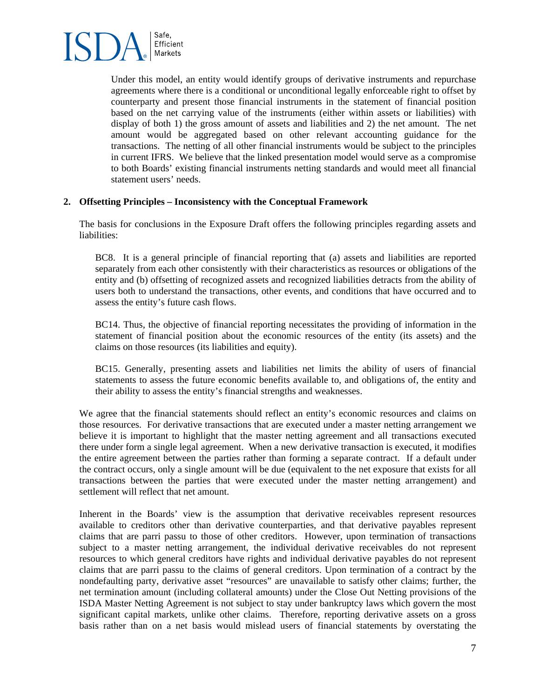

Under this model, an entity would identify groups of derivative instruments and repurchase agreements where there is a conditional or unconditional legally enforceable right to offset by counterparty and present those financial instruments in the statement of financial position based on the net carrying value of the instruments (either within assets or liabilities) with display of both 1) the gross amount of assets and liabilities and 2) the net amount. The net amount would be aggregated based on other relevant accounting guidance for the transactions. The netting of all other financial instruments would be subject to the principles in current IFRS. We believe that the linked presentation model would serve as a compromise to both Boards' existing financial instruments netting standards and would meet all financial statement users' needs.

#### **2. Offsetting Principles – Inconsistency with the Conceptual Framework**

The basis for conclusions in the Exposure Draft offers the following principles regarding assets and liabilities:

BC8. It is a general principle of financial reporting that (a) assets and liabilities are reported separately from each other consistently with their characteristics as resources or obligations of the entity and (b) offsetting of recognized assets and recognized liabilities detracts from the ability of users both to understand the transactions, other events, and conditions that have occurred and to assess the entity's future cash flows.

BC14. Thus, the objective of financial reporting necessitates the providing of information in the statement of financial position about the economic resources of the entity (its assets) and the claims on those resources (its liabilities and equity).

BC15. Generally, presenting assets and liabilities net limits the ability of users of financial statements to assess the future economic benefits available to, and obligations of, the entity and their ability to assess the entity's financial strengths and weaknesses.

We agree that the financial statements should reflect an entity's economic resources and claims on those resources. For derivative transactions that are executed under a master netting arrangement we believe it is important to highlight that the master netting agreement and all transactions executed there under form a single legal agreement. When a new derivative transaction is executed, it modifies the entire agreement between the parties rather than forming a separate contract. If a default under the contract occurs, only a single amount will be due (equivalent to the net exposure that exists for all transactions between the parties that were executed under the master netting arrangement) and settlement will reflect that net amount.

Inherent in the Boards' view is the assumption that derivative receivables represent resources available to creditors other than derivative counterparties, and that derivative payables represent claims that are parri passu to those of other creditors. However, upon termination of transactions subject to a master netting arrangement, the individual derivative receivables do not represent resources to which general creditors have rights and individual derivative payables do not represent claims that are parri passu to the claims of general creditors. Upon termination of a contract by the nondefaulting party, derivative asset "resources" are unavailable to satisfy other claims; further, the net termination amount (including collateral amounts) under the Close Out Netting provisions of the ISDA Master Netting Agreement is not subject to stay under bankruptcy laws which govern the most significant capital markets, unlike other claims. Therefore, reporting derivative assets on a gross basis rather than on a net basis would mislead users of financial statements by overstating the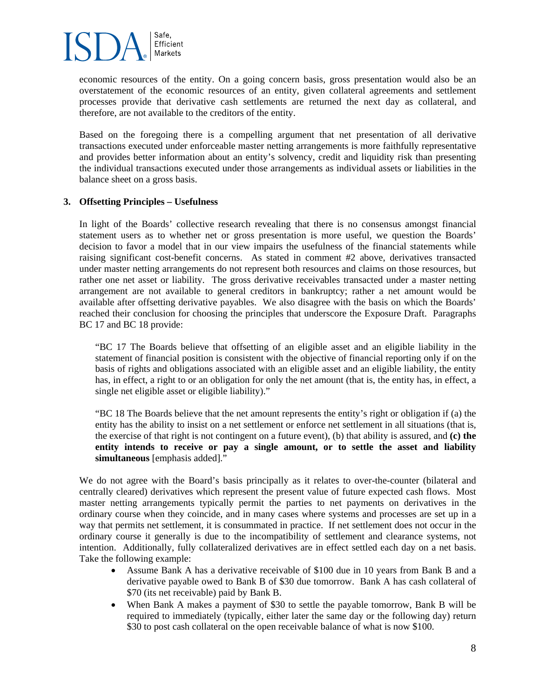

economic resources of the entity. On a going concern basis, gross presentation would also be an overstatement of the economic resources of an entity, given collateral agreements and settlement processes provide that derivative cash settlements are returned the next day as collateral, and therefore, are not available to the creditors of the entity.

Based on the foregoing there is a compelling argument that net presentation of all derivative transactions executed under enforceable master netting arrangements is more faithfully representative and provides better information about an entity's solvency, credit and liquidity risk than presenting the individual transactions executed under those arrangements as individual assets or liabilities in the balance sheet on a gross basis.

#### **3. Offsetting Principles – Usefulness**

In light of the Boards' collective research revealing that there is no consensus amongst financial statement users as to whether net or gross presentation is more useful, we question the Boards' decision to favor a model that in our view impairs the usefulness of the financial statements while raising significant cost-benefit concerns. As stated in comment #2 above, derivatives transacted under master netting arrangements do not represent both resources and claims on those resources, but rather one net asset or liability. The gross derivative receivables transacted under a master netting arrangement are not available to general creditors in bankruptcy; rather a net amount would be available after offsetting derivative payables. We also disagree with the basis on which the Boards' reached their conclusion for choosing the principles that underscore the Exposure Draft. Paragraphs BC 17 and BC 18 provide:

"BC 17 The Boards believe that offsetting of an eligible asset and an eligible liability in the statement of financial position is consistent with the objective of financial reporting only if on the basis of rights and obligations associated with an eligible asset and an eligible liability, the entity has, in effect, a right to or an obligation for only the net amount (that is, the entity has, in effect, a single net eligible asset or eligible liability)."

"BC 18 The Boards believe that the net amount represents the entity's right or obligation if (a) the entity has the ability to insist on a net settlement or enforce net settlement in all situations (that is, the exercise of that right is not contingent on a future event), (b) that ability is assured, and **(c) the entity intends to receive or pay a single amount, or to settle the asset and liability simultaneous** [emphasis added]."

We do not agree with the Board's basis principally as it relates to over-the-counter (bilateral and centrally cleared) derivatives which represent the present value of future expected cash flows. Most master netting arrangements typically permit the parties to net payments on derivatives in the ordinary course when they coincide, and in many cases where systems and processes are set up in a way that permits net settlement, it is consummated in practice. If net settlement does not occur in the ordinary course it generally is due to the incompatibility of settlement and clearance systems, not intention. Additionally, fully collateralized derivatives are in effect settled each day on a net basis. Take the following example:

- Assume Bank A has a derivative receivable of \$100 due in 10 years from Bank B and a derivative payable owed to Bank B of \$30 due tomorrow. Bank A has cash collateral of \$70 (its net receivable) paid by Bank B.
- When Bank A makes a payment of \$30 to settle the payable tomorrow, Bank B will be required to immediately (typically, either later the same day or the following day) return \$30 to post cash collateral on the open receivable balance of what is now \$100.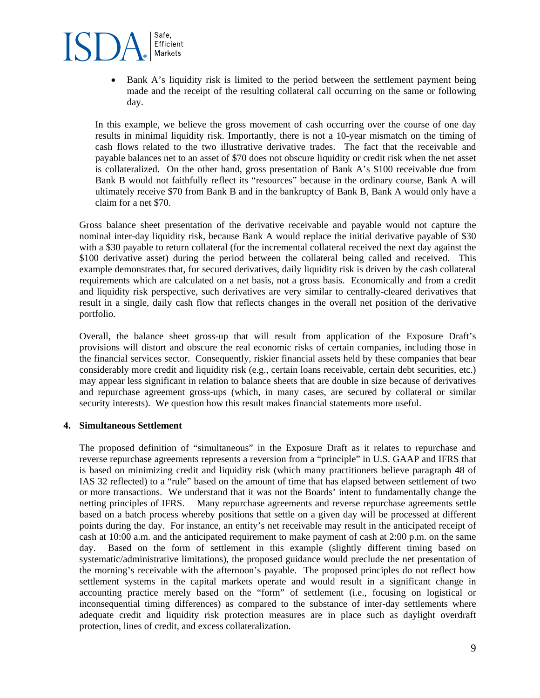

• Bank A's liquidity risk is limited to the period between the settlement payment being made and the receipt of the resulting collateral call occurring on the same or following day.

In this example, we believe the gross movement of cash occurring over the course of one day results in minimal liquidity risk. Importantly, there is not a 10-year mismatch on the timing of cash flows related to the two illustrative derivative trades. The fact that the receivable and payable balances net to an asset of \$70 does not obscure liquidity or credit risk when the net asset is collateralized. On the other hand, gross presentation of Bank A's \$100 receivable due from Bank B would not faithfully reflect its "resources" because in the ordinary course, Bank A will ultimately receive \$70 from Bank B and in the bankruptcy of Bank B, Bank A would only have a claim for a net \$70.

Gross balance sheet presentation of the derivative receivable and payable would not capture the nominal inter-day liquidity risk, because Bank A would replace the initial derivative payable of \$30 with a \$30 payable to return collateral (for the incremental collateral received the next day against the \$100 derivative asset) during the period between the collateral being called and received. This example demonstrates that, for secured derivatives, daily liquidity risk is driven by the cash collateral requirements which are calculated on a net basis, not a gross basis. Economically and from a credit and liquidity risk perspective, such derivatives are very similar to centrally-cleared derivatives that result in a single, daily cash flow that reflects changes in the overall net position of the derivative portfolio.

Overall, the balance sheet gross-up that will result from application of the Exposure Draft's provisions will distort and obscure the real economic risks of certain companies, including those in the financial services sector. Consequently, riskier financial assets held by these companies that bear considerably more credit and liquidity risk (e.g., certain loans receivable, certain debt securities, etc.) may appear less significant in relation to balance sheets that are double in size because of derivatives and repurchase agreement gross-ups (which, in many cases, are secured by collateral or similar security interests). We question how this result makes financial statements more useful.

#### **4. Simultaneous Settlement**

The proposed definition of "simultaneous" in the Exposure Draft as it relates to repurchase and reverse repurchase agreements represents a reversion from a "principle" in U.S. GAAP and IFRS that is based on minimizing credit and liquidity risk (which many practitioners believe paragraph 48 of IAS 32 reflected) to a "rule" based on the amount of time that has elapsed between settlement of two or more transactions. We understand that it was not the Boards' intent to fundamentally change the netting principles of IFRS. Many repurchase agreements and reverse repurchase agreements settle based on a batch process whereby positions that settle on a given day will be processed at different points during the day. For instance, an entity's net receivable may result in the anticipated receipt of cash at 10:00 a.m. and the anticipated requirement to make payment of cash at 2:00 p.m. on the same day. Based on the form of settlement in this example (slightly different timing based on systematic/administrative limitations), the proposed guidance would preclude the net presentation of the morning's receivable with the afternoon's payable. The proposed principles do not reflect how settlement systems in the capital markets operate and would result in a significant change in accounting practice merely based on the "form" of settlement (i.e., focusing on logistical or inconsequential timing differences) as compared to the substance of inter-day settlements where adequate credit and liquidity risk protection measures are in place such as daylight overdraft protection, lines of credit, and excess collateralization.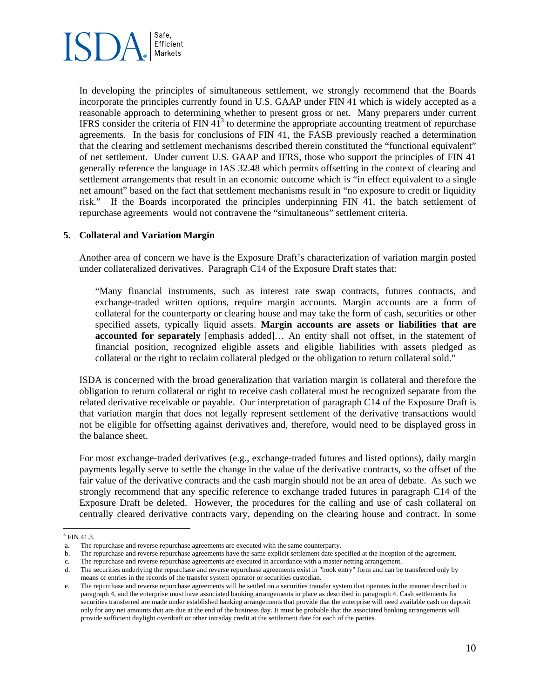

In developing the principles of simultaneous settlement, we strongly recommend that the Boards incorporate the principles currently found in U.S. GAAP under FIN 41 which is widely accepted as a reasonable approach to determining whether to present gross or net. Many preparers under current IFRS consider the criteria of FIN  $41^3$  to determine the appropriate accounting treatment of repurchase agreements. In the basis for conclusions of FIN 41, the FASB previously reached a determination that the clearing and settlement mechanisms described therein constituted the "functional equivalent" of net settlement. Under current U.S. GAAP and IFRS, those who support the principles of FIN 41 generally reference the language in IAS 32.48 which permits offsetting in the context of clearing and settlement arrangements that result in an economic outcome which is "in effect equivalent to a single net amount" based on the fact that settlement mechanisms result in "no exposure to credit or liquidity risk." If the Boards incorporated the principles underpinning FIN 41, the batch settlement of repurchase agreements would not contravene the "simultaneous" settlement criteria.

#### **5. Collateral and Variation Margin**

Another area of concern we have is the Exposure Draft's characterization of variation margin posted under collateralized derivatives. Paragraph C14 of the Exposure Draft states that:

"Many financial instruments, such as interest rate swap contracts, futures contracts, and exchange-traded written options, require margin accounts. Margin accounts are a form of collateral for the counterparty or clearing house and may take the form of cash, securities or other specified assets, typically liquid assets. **Margin accounts are assets or liabilities that are accounted for separately** [emphasis added]… An entity shall not offset, in the statement of financial position, recognized eligible assets and eligible liabilities with assets pledged as collateral or the right to reclaim collateral pledged or the obligation to return collateral sold."

ISDA is concerned with the broad generalization that variation margin is collateral and therefore the obligation to return collateral or right to receive cash collateral must be recognized separate from the related derivative receivable or payable. Our interpretation of paragraph C14 of the Exposure Draft is that variation margin that does not legally represent settlement of the derivative transactions would not be eligible for offsetting against derivatives and, therefore, would need to be displayed gross in the balance sheet.

For most exchange-traded derivatives (e.g., exchange-traded futures and listed options), daily margin payments legally serve to settle the change in the value of the derivative contracts, so the offset of the fair value of the derivative contracts and the cash margin should not be an area of debate. As such we strongly recommend that any specific reference to exchange traded futures in paragraph C14 of the Exposure Draft be deleted. However, the procedures for the calling and use of cash collateral on centrally cleared derivative contracts vary, depending on the clearing house and contract. In some

 $\overline{a}$  $3$  FIN 41.3.

a. The repurchase and reverse repurchase agreements are executed with the same counterparty.

b. The repurchase and reverse repurchase agreements have the same explicit settlement date specified at the inception of the agreement.

c. The repurchase and reverse repurchase agreements are executed in accordance with a master netting arrangement.

d. The securities underlying the repurchase and reverse repurchase agreements exist in "book entry" form and can be transferred only by means of entries in the records of the transfer system operator or securities custodian.

e. The repurchase and reverse repurchase agreements will be settled on a securities transfer system that operates in the manner described in paragraph 4, and the enterprise must have associated banking arrangements in place as described in paragraph 4. Cash settlements for securities transferred are made under established banking arrangements that provide that the enterprise will need available cash on deposit only for any net amounts that are due at the end of the business day. It must be probable that the associated banking arrangements will provide sufficient daylight overdraft or other intraday credit at the settlement date for each of the parties.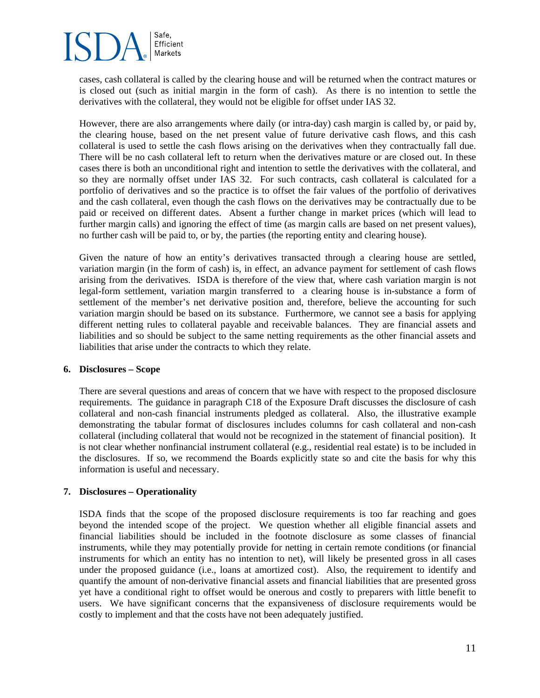

cases, cash collateral is called by the clearing house and will be returned when the contract matures or is closed out (such as initial margin in the form of cash). As there is no intention to settle the derivatives with the collateral, they would not be eligible for offset under IAS 32.

However, there are also arrangements where daily (or intra-day) cash margin is called by, or paid by, the clearing house, based on the net present value of future derivative cash flows, and this cash collateral is used to settle the cash flows arising on the derivatives when they contractually fall due. There will be no cash collateral left to return when the derivatives mature or are closed out. In these cases there is both an unconditional right and intention to settle the derivatives with the collateral, and so they are normally offset under IAS 32. For such contracts, cash collateral is calculated for a portfolio of derivatives and so the practice is to offset the fair values of the portfolio of derivatives and the cash collateral, even though the cash flows on the derivatives may be contractually due to be paid or received on different dates. Absent a further change in market prices (which will lead to further margin calls) and ignoring the effect of time (as margin calls are based on net present values), no further cash will be paid to, or by, the parties (the reporting entity and clearing house).

Given the nature of how an entity's derivatives transacted through a clearing house are settled, variation margin (in the form of cash) is, in effect, an advance payment for settlement of cash flows arising from the derivatives. ISDA is therefore of the view that, where cash variation margin is not legal-form settlement, variation margin transferred to a clearing house is in-substance a form of settlement of the member's net derivative position and, therefore, believe the accounting for such variation margin should be based on its substance. Furthermore, we cannot see a basis for applying different netting rules to collateral payable and receivable balances. They are financial assets and liabilities and so should be subject to the same netting requirements as the other financial assets and liabilities that arise under the contracts to which they relate.

#### **6. Disclosures – Scope**

There are several questions and areas of concern that we have with respect to the proposed disclosure requirements. The guidance in paragraph C18 of the Exposure Draft discusses the disclosure of cash collateral and non-cash financial instruments pledged as collateral. Also, the illustrative example demonstrating the tabular format of disclosures includes columns for cash collateral and non-cash collateral (including collateral that would not be recognized in the statement of financial position). It is not clear whether nonfinancial instrument collateral (e.g., residential real estate) is to be included in the disclosures. If so, we recommend the Boards explicitly state so and cite the basis for why this information is useful and necessary.

#### **7. Disclosures – Operationality**

ISDA finds that the scope of the proposed disclosure requirements is too far reaching and goes beyond the intended scope of the project. We question whether all eligible financial assets and financial liabilities should be included in the footnote disclosure as some classes of financial instruments, while they may potentially provide for netting in certain remote conditions (or financial instruments for which an entity has no intention to net), will likely be presented gross in all cases under the proposed guidance (i.e., loans at amortized cost). Also, the requirement to identify and quantify the amount of non-derivative financial assets and financial liabilities that are presented gross yet have a conditional right to offset would be onerous and costly to preparers with little benefit to users. We have significant concerns that the expansiveness of disclosure requirements would be costly to implement and that the costs have not been adequately justified.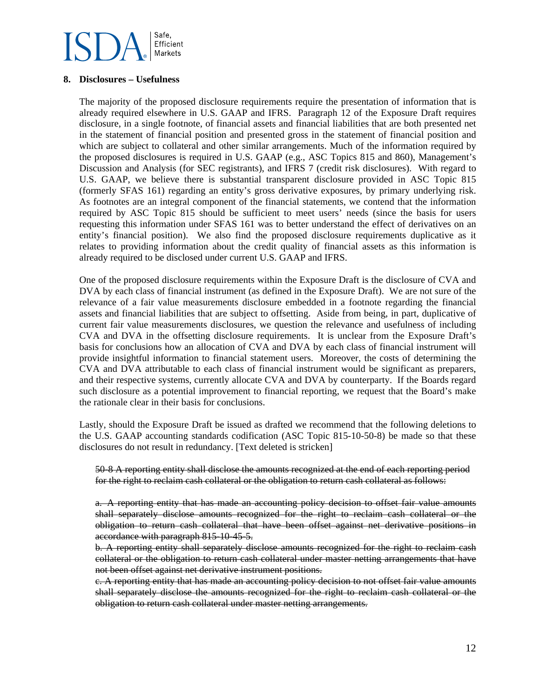### **8. Disclosures – Usefulness**

The majority of the proposed disclosure requirements require the presentation of information that is already required elsewhere in U.S. GAAP and IFRS. Paragraph 12 of the Exposure Draft requires disclosure, in a single footnote, of financial assets and financial liabilities that are both presented net in the statement of financial position and presented gross in the statement of financial position and which are subject to collateral and other similar arrangements. Much of the information required by the proposed disclosures is required in U.S. GAAP (e.g., ASC Topics 815 and 860), Management's Discussion and Analysis (for SEC registrants), and IFRS 7 (credit risk disclosures). With regard to U.S. GAAP, we believe there is substantial transparent disclosure provided in ASC Topic 815 (formerly SFAS 161) regarding an entity's gross derivative exposures, by primary underlying risk. As footnotes are an integral component of the financial statements, we contend that the information required by ASC Topic 815 should be sufficient to meet users' needs (since the basis for users requesting this information under SFAS 161 was to better understand the effect of derivatives on an entity's financial position). We also find the proposed disclosure requirements duplicative as it relates to providing information about the credit quality of financial assets as this information is already required to be disclosed under current U.S. GAAP and IFRS.

One of the proposed disclosure requirements within the Exposure Draft is the disclosure of CVA and DVA by each class of financial instrument (as defined in the Exposure Draft). We are not sure of the relevance of a fair value measurements disclosure embedded in a footnote regarding the financial assets and financial liabilities that are subject to offsetting. Aside from being, in part, duplicative of current fair value measurements disclosures, we question the relevance and usefulness of including CVA and DVA in the offsetting disclosure requirements. It is unclear from the Exposure Draft's basis for conclusions how an allocation of CVA and DVA by each class of financial instrument will provide insightful information to financial statement users. Moreover, the costs of determining the CVA and DVA attributable to each class of financial instrument would be significant as preparers, and their respective systems, currently allocate CVA and DVA by counterparty. If the Boards regard such disclosure as a potential improvement to financial reporting, we request that the Board's make the rationale clear in their basis for conclusions.

Lastly, should the Exposure Draft be issued as drafted we recommend that the following deletions to the U.S. GAAP accounting standards codification (ASC Topic 815-10-50-8) be made so that these disclosures do not result in redundancy. [Text deleted is stricken]

50-8 A reporting entity shall disclose the amounts recognized at the end of each reporting period for the right to reclaim cash collateral or the obligation to return cash collateral as follows:

a. A reporting entity that has made an accounting policy decision to offset fair value amounts shall separately disclose amounts recognized for the right to reclaim cash collateral or the obligation to return cash collateral that have been offset against net derivative positions in accordance with paragraph 815-10-45-5.

b. A reporting entity shall separately disclose amounts recognized for the right to reclaim cash collateral or the obligation to return cash collateral under master netting arrangements that have not been offset against net derivative instrument positions.

c. A reporting entity that has made an accounting policy decision to not offset fair value amounts shall separately disclose the amounts recognized for the right to reclaim cash collateral or the obligation to return cash collateral under master netting arrangements.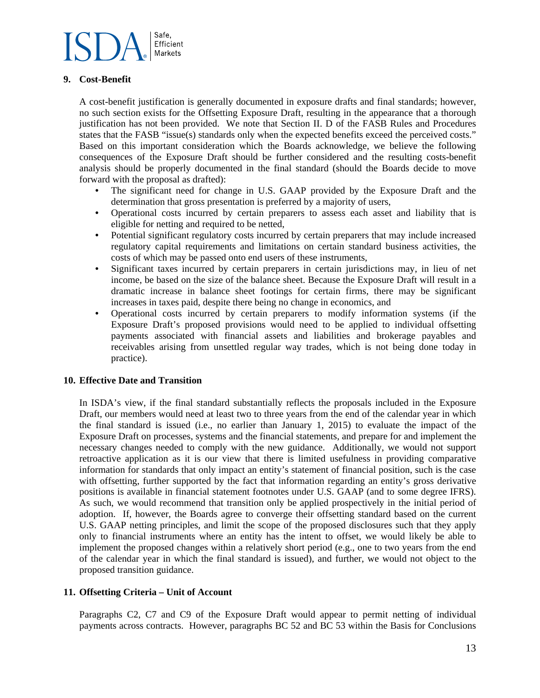

### **9. Cost-Benefit**

A cost-benefit justification is generally documented in exposure drafts and final standards; however, no such section exists for the Offsetting Exposure Draft, resulting in the appearance that a thorough justification has not been provided. We note that Section II. D of the FASB Rules and Procedures states that the FASB "issue(s) standards only when the expected benefits exceed the perceived costs." Based on this important consideration which the Boards acknowledge, we believe the following consequences of the Exposure Draft should be further considered and the resulting costs-benefit analysis should be properly documented in the final standard (should the Boards decide to move forward with the proposal as drafted):

- The significant need for change in U.S. GAAP provided by the Exposure Draft and the determination that gross presentation is preferred by a majority of users,
- Operational costs incurred by certain preparers to assess each asset and liability that is eligible for netting and required to be netted,
- Potential significant regulatory costs incurred by certain preparers that may include increased regulatory capital requirements and limitations on certain standard business activities, the costs of which may be passed onto end users of these instruments,
- Significant taxes incurred by certain preparers in certain jurisdictions may, in lieu of net income, be based on the size of the balance sheet. Because the Exposure Draft will result in a dramatic increase in balance sheet footings for certain firms, there may be significant increases in taxes paid, despite there being no change in economics, and
- Operational costs incurred by certain preparers to modify information systems (if the Exposure Draft's proposed provisions would need to be applied to individual offsetting payments associated with financial assets and liabilities and brokerage payables and receivables arising from unsettled regular way trades, which is not being done today in practice).

#### **10. Effective Date and Transition**

In ISDA's view, if the final standard substantially reflects the proposals included in the Exposure Draft, our members would need at least two to three years from the end of the calendar year in which the final standard is issued (i.e., no earlier than January 1, 2015) to evaluate the impact of the Exposure Draft on processes, systems and the financial statements, and prepare for and implement the necessary changes needed to comply with the new guidance. Additionally, we would not support retroactive application as it is our view that there is limited usefulness in providing comparative information for standards that only impact an entity's statement of financial position, such is the case with offsetting, further supported by the fact that information regarding an entity's gross derivative positions is available in financial statement footnotes under U.S. GAAP (and to some degree IFRS). As such, we would recommend that transition only be applied prospectively in the initial period of adoption. If, however, the Boards agree to converge their offsetting standard based on the current U.S. GAAP netting principles, and limit the scope of the proposed disclosures such that they apply only to financial instruments where an entity has the intent to offset, we would likely be able to implement the proposed changes within a relatively short period (e.g., one to two years from the end of the calendar year in which the final standard is issued), and further, we would not object to the proposed transition guidance.

### **11. Offsetting Criteria – Unit of Account**

Paragraphs C2, C7 and C9 of the Exposure Draft would appear to permit netting of individual payments across contracts. However, paragraphs BC 52 and BC 53 within the Basis for Conclusions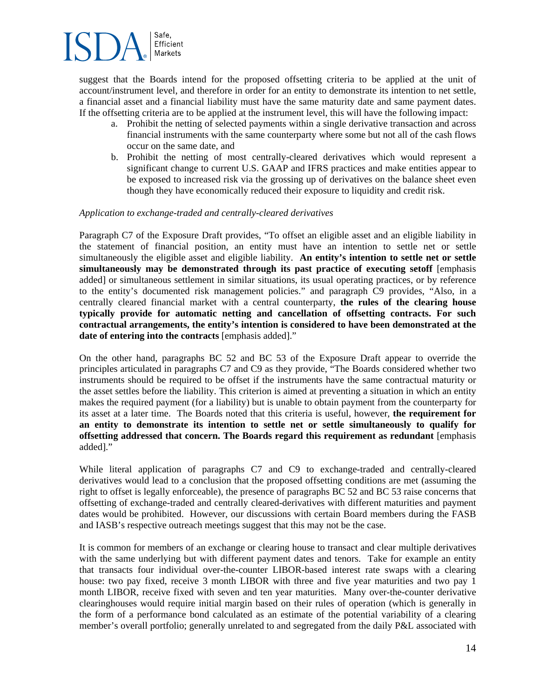suggest that the Boards intend for the proposed offsetting criteria to be applied at the unit of account/instrument level, and therefore in order for an entity to demonstrate its intention to net settle, a financial asset and a financial liability must have the same maturity date and same payment dates. If the offsetting criteria are to be applied at the instrument level, this will have the following impact:

- a. Prohibit the netting of selected payments within a single derivative transaction and across financial instruments with the same counterparty where some but not all of the cash flows occur on the same date, and
- b. Prohibit the netting of most centrally-cleared derivatives which would represent a significant change to current U.S. GAAP and IFRS practices and make entities appear to be exposed to increased risk via the grossing up of derivatives on the balance sheet even though they have economically reduced their exposure to liquidity and credit risk.

#### *Application to exchange-traded and centrally-cleared derivatives*

Paragraph C7 of the Exposure Draft provides, "To offset an eligible asset and an eligible liability in the statement of financial position, an entity must have an intention to settle net or settle simultaneously the eligible asset and eligible liability. **An entity's intention to settle net or settle simultaneously may be demonstrated through its past practice of executing setoff** [emphasis added] or simultaneous settlement in similar situations, its usual operating practices, or by reference to the entity's documented risk management policies." and paragraph C9 provides, "Also, in a centrally cleared financial market with a central counterparty, **the rules of the clearing house typically provide for automatic netting and cancellation of offsetting contracts. For such contractual arrangements, the entity's intention is considered to have been demonstrated at the date of entering into the contracts** [emphasis added]."

On the other hand, paragraphs BC 52 and BC 53 of the Exposure Draft appear to override the principles articulated in paragraphs C7 and C9 as they provide, "The Boards considered whether two instruments should be required to be offset if the instruments have the same contractual maturity or the asset settles before the liability. This criterion is aimed at preventing a situation in which an entity makes the required payment (for a liability) but is unable to obtain payment from the counterparty for its asset at a later time. The Boards noted that this criteria is useful, however, **the requirement for an entity to demonstrate its intention to settle net or settle simultaneously to qualify for offsetting addressed that concern. The Boards regard this requirement as redundant** [emphasis added]."

While literal application of paragraphs C7 and C9 to exchange-traded and centrally-cleared derivatives would lead to a conclusion that the proposed offsetting conditions are met (assuming the right to offset is legally enforceable), the presence of paragraphs BC 52 and BC 53 raise concerns that offsetting of exchange-traded and centrally cleared-derivatives with different maturities and payment dates would be prohibited. However, our discussions with certain Board members during the FASB and IASB's respective outreach meetings suggest that this may not be the case.

It is common for members of an exchange or clearing house to transact and clear multiple derivatives with the same underlying but with different payment dates and tenors. Take for example an entity that transacts four individual over-the-counter LIBOR-based interest rate swaps with a clearing house: two pay fixed, receive 3 month LIBOR with three and five year maturities and two pay 1 month LIBOR, receive fixed with seven and ten year maturities. Many over-the-counter derivative clearinghouses would require initial margin based on their rules of operation (which is generally in the form of a performance bond calculated as an estimate of the potential variability of a clearing member's overall portfolio; generally unrelated to and segregated from the daily P&L associated with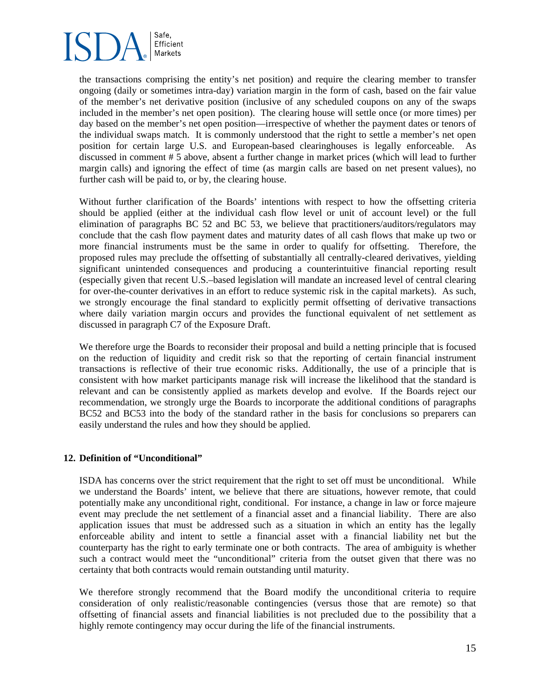

the transactions comprising the entity's net position) and require the clearing member to transfer ongoing (daily or sometimes intra-day) variation margin in the form of cash, based on the fair value of the member's net derivative position (inclusive of any scheduled coupons on any of the swaps included in the member's net open position). The clearing house will settle once (or more times) per day based on the member's net open position—irrespective of whether the payment dates or tenors of the individual swaps match. It is commonly understood that the right to settle a member's net open position for certain large U.S. and European-based clearinghouses is legally enforceable. As discussed in comment # 5 above, absent a further change in market prices (which will lead to further margin calls) and ignoring the effect of time (as margin calls are based on net present values), no further cash will be paid to, or by, the clearing house.

Without further clarification of the Boards' intentions with respect to how the offsetting criteria should be applied (either at the individual cash flow level or unit of account level) or the full elimination of paragraphs BC 52 and BC 53, we believe that practitioners/auditors/regulators may conclude that the cash flow payment dates and maturity dates of all cash flows that make up two or more financial instruments must be the same in order to qualify for offsetting. Therefore, the proposed rules may preclude the offsetting of substantially all centrally-cleared derivatives, yielding significant unintended consequences and producing a counterintuitive financial reporting result (especially given that recent U.S.–based legislation will mandate an increased level of central clearing for over-the-counter derivatives in an effort to reduce systemic risk in the capital markets). As such, we strongly encourage the final standard to explicitly permit offsetting of derivative transactions where daily variation margin occurs and provides the functional equivalent of net settlement as discussed in paragraph C7 of the Exposure Draft.

We therefore urge the Boards to reconsider their proposal and build a netting principle that is focused on the reduction of liquidity and credit risk so that the reporting of certain financial instrument transactions is reflective of their true economic risks. Additionally, the use of a principle that is consistent with how market participants manage risk will increase the likelihood that the standard is relevant and can be consistently applied as markets develop and evolve. If the Boards reject our recommendation, we strongly urge the Boards to incorporate the additional conditions of paragraphs BC52 and BC53 into the body of the standard rather in the basis for conclusions so preparers can easily understand the rules and how they should be applied.

#### **12. Definition of "Unconditional"**

ISDA has concerns over the strict requirement that the right to set off must be unconditional. While we understand the Boards' intent, we believe that there are situations, however remote, that could potentially make any unconditional right, conditional. For instance, a change in law or force majeure event may preclude the net settlement of a financial asset and a financial liability. There are also application issues that must be addressed such as a situation in which an entity has the legally enforceable ability and intent to settle a financial asset with a financial liability net but the counterparty has the right to early terminate one or both contracts. The area of ambiguity is whether such a contract would meet the "unconditional" criteria from the outset given that there was no certainty that both contracts would remain outstanding until maturity.

We therefore strongly recommend that the Board modify the unconditional criteria to require consideration of only realistic/reasonable contingencies (versus those that are remote) so that offsetting of financial assets and financial liabilities is not precluded due to the possibility that a highly remote contingency may occur during the life of the financial instruments.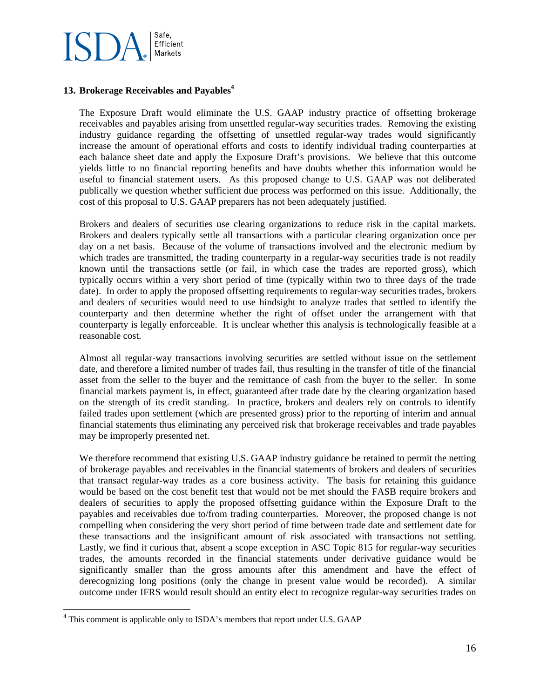

## 13. Brokerage Receivables and Payables<sup>4</sup>

The Exposure Draft would eliminate the U.S. GAAP industry practice of offsetting brokerage receivables and payables arising from unsettled regular-way securities trades. Removing the existing industry guidance regarding the offsetting of unsettled regular-way trades would significantly increase the amount of operational efforts and costs to identify individual trading counterparties at each balance sheet date and apply the Exposure Draft's provisions. We believe that this outcome yields little to no financial reporting benefits and have doubts whether this information would be useful to financial statement users. As this proposed change to U.S. GAAP was not deliberated publically we question whether sufficient due process was performed on this issue. Additionally, the cost of this proposal to U.S. GAAP preparers has not been adequately justified.

Brokers and dealers of securities use clearing organizations to reduce risk in the capital markets. Brokers and dealers typically settle all transactions with a particular clearing organization once per day on a net basis. Because of the volume of transactions involved and the electronic medium by which trades are transmitted, the trading counterparty in a regular-way securities trade is not readily known until the transactions settle (or fail, in which case the trades are reported gross), which typically occurs within a very short period of time (typically within two to three days of the trade date). In order to apply the proposed offsetting requirements to regular-way securities trades, brokers and dealers of securities would need to use hindsight to analyze trades that settled to identify the counterparty and then determine whether the right of offset under the arrangement with that counterparty is legally enforceable. It is unclear whether this analysis is technologically feasible at a reasonable cost.

Almost all regular-way transactions involving securities are settled without issue on the settlement date, and therefore a limited number of trades fail, thus resulting in the transfer of title of the financial asset from the seller to the buyer and the remittance of cash from the buyer to the seller. In some financial markets payment is, in effect, guaranteed after trade date by the clearing organization based on the strength of its credit standing. In practice, brokers and dealers rely on controls to identify failed trades upon settlement (which are presented gross) prior to the reporting of interim and annual financial statements thus eliminating any perceived risk that brokerage receivables and trade payables may be improperly presented net.

We therefore recommend that existing U.S. GAAP industry guidance be retained to permit the netting of brokerage payables and receivables in the financial statements of brokers and dealers of securities that transact regular-way trades as a core business activity. The basis for retaining this guidance would be based on the cost benefit test that would not be met should the FASB require brokers and dealers of securities to apply the proposed offsetting guidance within the Exposure Draft to the payables and receivables due to/from trading counterparties. Moreover, the proposed change is not compelling when considering the very short period of time between trade date and settlement date for these transactions and the insignificant amount of risk associated with transactions not settling. Lastly, we find it curious that, absent a scope exception in ASC Topic 815 for regular-way securities trades, the amounts recorded in the financial statements under derivative guidance would be significantly smaller than the gross amounts after this amendment and have the effect of derecognizing long positions (only the change in present value would be recorded). A similar outcome under IFRS would result should an entity elect to recognize regular-way securities trades on

 $\overline{a}$ 

<sup>&</sup>lt;sup>4</sup> This comment is applicable only to ISDA's members that report under U.S. GAAP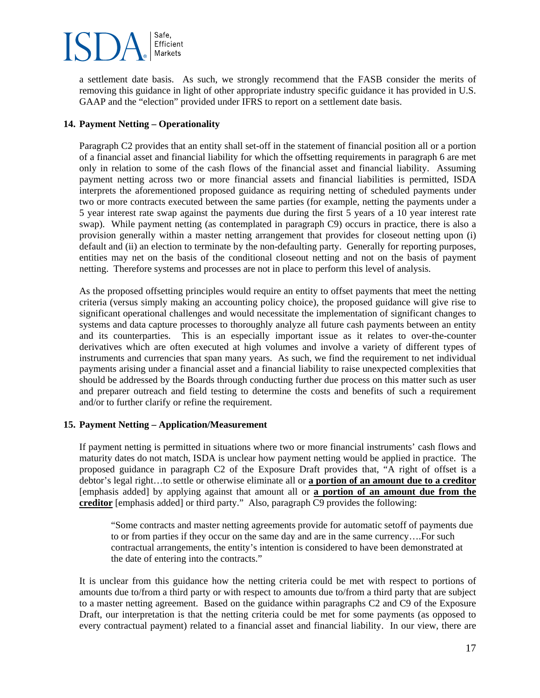a settlement date basis. As such, we strongly recommend that the FASB consider the merits of removing this guidance in light of other appropriate industry specific guidance it has provided in U.S. GAAP and the "election" provided under IFRS to report on a settlement date basis.

## **14. Payment Netting – Operationality**

Paragraph C2 provides that an entity shall set-off in the statement of financial position all or a portion of a financial asset and financial liability for which the offsetting requirements in paragraph 6 are met only in relation to some of the cash flows of the financial asset and financial liability. Assuming payment netting across two or more financial assets and financial liabilities is permitted, ISDA interprets the aforementioned proposed guidance as requiring netting of scheduled payments under two or more contracts executed between the same parties (for example, netting the payments under a 5 year interest rate swap against the payments due during the first 5 years of a 10 year interest rate swap). While payment netting (as contemplated in paragraph C9) occurs in practice, there is also a provision generally within a master netting arrangement that provides for closeout netting upon (i) default and (ii) an election to terminate by the non-defaulting party. Generally for reporting purposes, entities may net on the basis of the conditional closeout netting and not on the basis of payment netting. Therefore systems and processes are not in place to perform this level of analysis.

As the proposed offsetting principles would require an entity to offset payments that meet the netting criteria (versus simply making an accounting policy choice), the proposed guidance will give rise to significant operational challenges and would necessitate the implementation of significant changes to systems and data capture processes to thoroughly analyze all future cash payments between an entity and its counterparties. This is an especially important issue as it relates to over-the-counter derivatives which are often executed at high volumes and involve a variety of different types of instruments and currencies that span many years. As such, we find the requirement to net individual payments arising under a financial asset and a financial liability to raise unexpected complexities that should be addressed by the Boards through conducting further due process on this matter such as user and preparer outreach and field testing to determine the costs and benefits of such a requirement and/or to further clarify or refine the requirement.

## **15. Payment Netting – Application/Measurement**

If payment netting is permitted in situations where two or more financial instruments' cash flows and maturity dates do not match, ISDA is unclear how payment netting would be applied in practice. The proposed guidance in paragraph C2 of the Exposure Draft provides that, "A right of offset is a debtor's legal right…to settle or otherwise eliminate all or **a portion of an amount due to a creditor** [emphasis added] by applying against that amount all or **a portion of an amount due from the creditor** [emphasis added] or third party." Also, paragraph C9 provides the following:

"Some contracts and master netting agreements provide for automatic setoff of payments due to or from parties if they occur on the same day and are in the same currency….For such contractual arrangements, the entity's intention is considered to have been demonstrated at the date of entering into the contracts."

It is unclear from this guidance how the netting criteria could be met with respect to portions of amounts due to/from a third party or with respect to amounts due to/from a third party that are subject to a master netting agreement. Based on the guidance within paragraphs C2 and C9 of the Exposure Draft, our interpretation is that the netting criteria could be met for some payments (as opposed to every contractual payment) related to a financial asset and financial liability. In our view, there are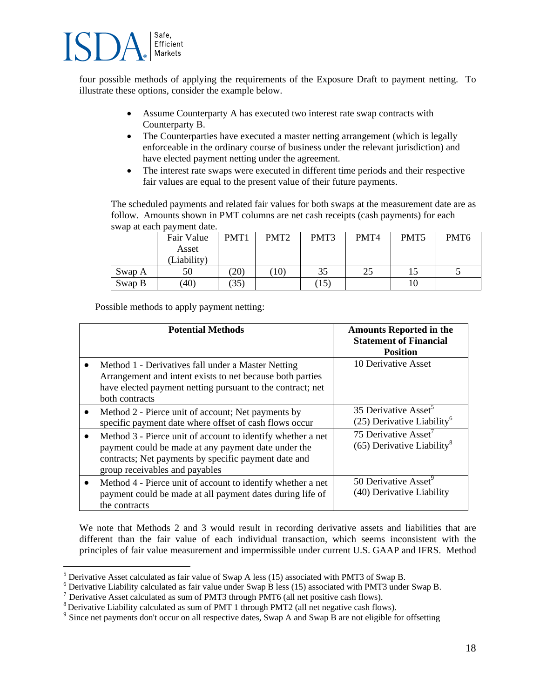

 $\overline{a}$ 

four possible methods of applying the requirements of the Exposure Draft to payment netting. To illustrate these options, consider the example below.

- Assume Counterparty A has executed two interest rate swap contracts with Counterparty B.
- The Counterparties have executed a master netting arrangement (which is legally enforceable in the ordinary course of business under the relevant jurisdiction) and have elected payment netting under the agreement.
- The interest rate swaps were executed in different time periods and their respective fair values are equal to the present value of their future payments.

The scheduled payments and related fair values for both swaps at the measurement date are as follow. Amounts shown in PMT columns are net cash receipts (cash payments) for each swap at each payment date.

|        | Fair Value  | PMT1 | PMT <sub>2</sub> | PMT3 | PMT4 | PMT <sub>5</sub> | PMT <sub>6</sub> |
|--------|-------------|------|------------------|------|------|------------------|------------------|
|        | Asset       |      |                  |      |      |                  |                  |
|        | (Liability) |      |                  |      |      |                  |                  |
| Swap A | 50          | (20) | 10)              | 35   | 25   |                  |                  |
| Swap B | (40)        | (35) |                  | (15) |      |                  |                  |

Possible methods to apply payment netting:

| <b>Potential Methods</b>                                                                                                                                                                                     | <b>Amounts Reported in the</b><br><b>Statement of Financial</b><br><b>Position</b> |
|--------------------------------------------------------------------------------------------------------------------------------------------------------------------------------------------------------------|------------------------------------------------------------------------------------|
| Method 1 - Derivatives fall under a Master Netting<br>Arrangement and intent exists to net because both parties<br>have elected payment netting pursuant to the contract; net<br>both contracts              | 10 Derivative Asset                                                                |
| Method 2 - Pierce unit of account; Net payments by<br>$\bullet$<br>specific payment date where offset of cash flows occur                                                                                    | 35 Derivative Asset <sup>5</sup><br>$(25)$ Derivative Liability <sup>6</sup>       |
| Method 3 - Pierce unit of account to identify whether a net<br>payment could be made at any payment date under the<br>contracts; Net payments by specific payment date and<br>group receivables and payables | 75 Derivative Asset <sup>7</sup><br>$(65)$ Derivative Liability <sup>8</sup>       |
| Method 4 - Pierce unit of account to identify whether a net<br>$\bullet$<br>payment could be made at all payment dates during life of<br>the contracts                                                       | 50 Derivative Asset <sup>9</sup><br>(40) Derivative Liability                      |

We note that Methods 2 and 3 would result in recording derivative assets and liabilities that are different than the fair value of each individual transaction, which seems inconsistent with the principles of fair value measurement and impermissible under current U.S. GAAP and IFRS. Method

<sup>&</sup>lt;sup>5</sup> Derivative Asset calculated as fair value of Swap A less (15) associated with PMT3 of Swap B. Perivative Asset calculated as fair value of Swap A less (15) associated with PMT3 of Swap B.<br><sup>6</sup> Derivative Lishility calculated as fair value under Swap B less (15) associated with PMT3 under

<sup>&</sup>lt;sup>6</sup> Derivative Liability calculated as fair value under Swap B less (15) associated with PMT3 under Swap B.<br><sup>7</sup> Derivative Asset calculated as sum of PMT3 through PMT6 (all net positive cash flows).

<sup>&</sup>lt;sup>7</sup> Derivative Asset calculated as sum of PMT3 through PMT6 (all net positive cash flows).<br><sup>8</sup> Derivative Liability calculated as sum of PMT 1 through PMT2 (all net negative cash flows).

<sup>&</sup>lt;sup>9</sup> Since net payments don't occur on all respective dates, Swap A and Swap B are not eligible for offsetting